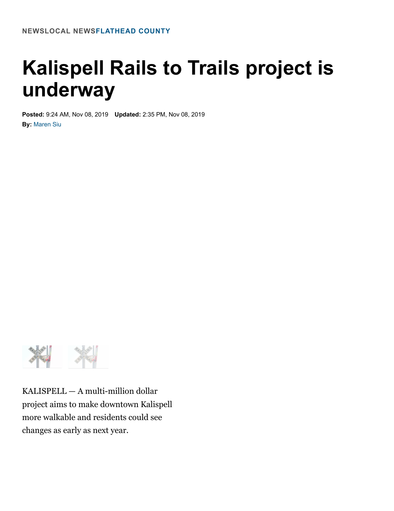## **Kalispell Rails to Trails project is underway**

**Posted:** 9:24 AM, Nov 08, 2019 **Updated:** 2:35 PM, Nov 08, 2019 **By:** [Maren Siu](https://www.kpax.com/maren-siu)



KALISPELL — A multi-million dollar project aims to make downtown Kalispell more walkable and residents could see changes as early as next year.